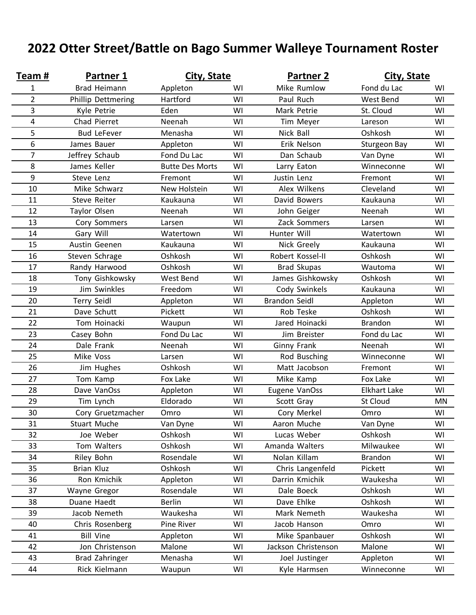## **2022 Otter Street/Battle on Bago Summer Walleye Tournament Roster**

| Team#          | <b>Partner 1</b>    | City, State            |    | <b>Partner 2</b>     | City, State         |    |
|----------------|---------------------|------------------------|----|----------------------|---------------------|----|
| 1              | <b>Brad Heimann</b> | Appleton               | WI | Mike Rumlow          | Fond du Lac         | WI |
| $\overline{2}$ | Phillip Dettmering  | Hartford               | WI | Paul Ruch            | West Bend           | WI |
| 3              | Kyle Petrie         | Eden                   | WI | Mark Petrie          | St. Cloud           | WI |
| 4              | Chad Pierret        | Neenah                 | WI | Tim Meyer            | Lareson             | WI |
| 5              | <b>Bud LeFever</b>  | Menasha                | WI | Nick Ball            | Oshkosh             | WI |
| 6              | James Bauer         | Appleton               | WI | Erik Nelson          | <b>Sturgeon Bay</b> | WI |
| $\overline{7}$ | Jeffrey Schaub      | Fond Du Lac            | WI | Dan Schaub           | Van Dyne            | WI |
| 8              | James Keller        | <b>Butte Des Morts</b> | WI | Larry Eaton          | Winneconne          | WI |
| 9              | Steve Lenz          | Fremont                | WI | Justin Lenz          | Fremont             | WI |
| 10             | Mike Schwarz        | New Holstein           | WI | Alex Wilkens         | Cleveland           | WI |
| 11             | <b>Steve Reiter</b> | Kaukauna               | WI | David Bowers         | Kaukauna            | WI |
| 12             | Taylor Olsen        | Neenah                 | WI | John Geiger          | Neenah              | WI |
| 13             | Cory Sommers        | Larsen                 | WI | Zack Sommers         | Larsen              | WI |
| 14             | Gary Will           | Watertown              | WI | Hunter Will          | Watertown           | WI |
| 15             | Austin Geenen       | Kaukauna               | WI | Nick Greely          | Kaukauna            | WI |
| 16             | Steven Schrage      | Oshkosh                | WI | Robert Kossel-II     | Oshkosh             | WI |
| 17             | Randy Harwood       | Oshkosh                | WI | <b>Brad Skupas</b>   | Wautoma             | WI |
| 18             | Tony Gishkowsky     | West Bend              | WI | James Gishkowsky     | Oshkosh             | WI |
| 19             | Jim Swinkles        | Freedom                | WI | Cody Swinkels        | Kaukauna            | WI |
| 20             | <b>Terry Seidl</b>  | Appleton               | WI | <b>Brandon Seidl</b> | Appleton            | WI |
| 21             | Dave Schutt         | Pickett                | WI | Rob Teske            | Oshkosh             | WI |
| 22             | Tom Hoinacki        | Waupun                 | WI | Jared Hoinacki       | <b>Brandon</b>      | WI |
| 23             | Casey Bohn          | Fond Du Lac            | WI | Jim Breister         | Fond du Lac         | WI |
| 24             | Dale Frank          | Neenah                 | WI | Ginny Frank          | Neenah              | WI |
| 25             | Mike Voss           | Larsen                 | WI | Rod Busching         | Winneconne          | WI |
| 26             | Jim Hughes          | Oshkosh                | WI | Matt Jacobson        | Fremont             | WI |
| 27             | Tom Kamp            | Fox Lake               | WI | Mike Kamp            | Fox Lake            | WI |
| 28             | Dave VanOss         | Appleton               | WI | Eugene VanOss        | <b>Elkhart Lake</b> | WI |
| 29             | Tim Lynch           | Eldorado               | WI | Scott Gray           | <b>St Cloud</b>     | MN |
| 30             | Cory Gruetzmacher   | Omro                   | WI | Cory Merkel          | Omro                | WI |
| 31             | Stuart Muche        | Van Dyne               | WI | Aaron Muche          | Van Dyne            | WI |
| 32             | Joe Weber           | Oshkosh                | WI | Lucas Weber          | Oshkosh             | WI |
| 33             | Tom Walters         | Oshkosh                | WI | Amanda Walters       | Milwaukee           | WI |
| 34             | Riley Bohn          | Rosendale              | WI | Nolan Killam         | <b>Brandon</b>      | WI |
| 35             | <b>Brian Kluz</b>   | Oshkosh                | WI | Chris Langenfeld     | Pickett             | WI |
| 36             | Ron Kmichik         | Appleton               | WI | Darrin Kmichik       | Waukesha            | WI |
| 37             | Wayne Gregor        | Rosendale              | WI | Dale Boeck           | Oshkosh             | WI |
| 38             | Duane Haedt         | <b>Berlin</b>          | WI | Dave Ehlke           | Oshkosh             | WI |
| 39             | Jacob Nemeth        | Waukesha               | WI | Mark Nemeth          | Waukesha            | WI |
| 40             | Chris Rosenberg     | Pine River             | WI | Jacob Hanson         | Omro                | WI |
| 41             | <b>Bill Vine</b>    | Appleton               | WI | Mike Spanbauer       | Oshkosh             | WI |
| 42             | Jon Christenson     | Malone                 | WI | Jackson Christenson  | Malone              | WI |
| 43             | Brad Zahringer      | Menasha                | WI | Joel Justinger       | Appleton            | WI |
| 44             | Rick Kielmann       | Waupun                 | WI | Kyle Harmsen         | Winneconne          | WI |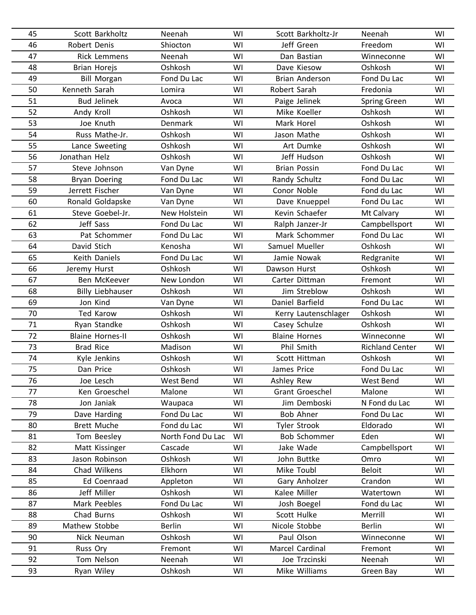| 45 | Scott Barkholtz         | Neenah            | WI | Scott Barkholtz-Jr   | Neenah                 | WI |
|----|-------------------------|-------------------|----|----------------------|------------------------|----|
| 46 | Robert Denis            | Shiocton          | WI | Jeff Green           | Freedom                | WI |
| 47 | <b>Rick Lemmens</b>     | Neenah            | WI | Dan Bastian          | Winneconne             | WI |
| 48 | <b>Brian Horejs</b>     | Oshkosh           | WI | Dave Kiesow          | Oshkosh                | WI |
| 49 | <b>Bill Morgan</b>      | Fond Du Lac       | WI | Brian Anderson       | Fond Du Lac            | WI |
| 50 | Kenneth Sarah           | Lomira            | WI | Robert Sarah         | Fredonia               | WI |
| 51 | <b>Bud Jelinek</b>      | Avoca             | WI | Paige Jelinek        | <b>Spring Green</b>    | WI |
| 52 | Andy Kroll              | Oshkosh           | WI | Mike Koeller         | Oshkosh                | WI |
| 53 | Joe Knuth               | Denmark           | WI | Mark Horel           | Oshkosh                | WI |
| 54 | Russ Mathe-Jr.          | Oshkosh           | WI | Jason Mathe          | Oshkosh                | WI |
| 55 | Lance Sweeting          | Oshkosh           | WI | Art Dumke            | Oshkosh                | WI |
| 56 | Jonathan Helz           | Oshkosh           | WI | Jeff Hudson          | Oshkosh                | WI |
| 57 | Steve Johnson           | Van Dyne          | WI | <b>Brian Possin</b>  | Fond Du Lac            | WI |
| 58 | <b>Bryan Doering</b>    | Fond Du Lac       | WI | Randy Schultz        | Fond Du Lac            | WI |
| 59 | Jerrett Fischer         | Van Dyne          | WI | Conor Noble          | Fond du Lac            | WI |
| 60 | Ronald Goldapske        | Van Dyne          | WI | Dave Knueppel        | Fond Du Lac            | WI |
| 61 | Steve Goebel-Jr.        | New Holstein      | WI | Kevin Schaefer       | Mt Calvary             | WI |
| 62 | Jeff Sass               | Fond Du Lac       | WI | Ralph Janzer-Jr      | Campbellsport          | WI |
| 63 | Pat Schommer            | Fond Du Lac       | WI | Mark Schommer        | Fond Du Lac            | WI |
| 64 | David Stich             | Kenosha           | WI | Samuel Mueller       | Oshkosh                | WI |
| 65 | Keith Daniels           | Fond Du Lac       | WI | Jamie Nowak          | Redgranite             | WI |
| 66 | Jeremy Hurst            | Oshkosh           | WI | Dawson Hurst         | Oshkosh                | WI |
| 67 | Ben McKeever            | New London        | WI | Carter Dittman       | Fremont                | WI |
| 68 | <b>Billy Liebhauser</b> | Oshkosh           | WI | Jim Streblow         | Oshkosh                | WI |
| 69 | Jon Kind                | Van Dyne          | WI | Daniel Barfield      | Fond Du Lac            | WI |
| 70 | <b>Ted Karow</b>        | Oshkosh           | WI | Kerry Lautenschlager | Oshkosh                | WI |
| 71 | Ryan Standke            | Oshkosh           | WI | Casey Schulze        | Oshkosh                | WI |
| 72 | <b>Blaine Hornes-II</b> | Oshkosh           | WI | <b>Blaine Hornes</b> | Winneconne             | WI |
| 73 | <b>Brad Rice</b>        | Madison           | WI | Phil Smith           | <b>Richland Center</b> | WI |
| 74 | Kyle Jenkins            | Oshkosh           | WI | Scott Hittman        | Oshkosh                | WI |
| 75 | Dan Price               | Oshkosh           | WI | James Price          | Fond Du Lac            | WI |
| 76 | Joe Lesch               | West Bend         | WI | Ashley Rew           | West Bend              | WI |
| 77 | Ken Groeschel           | Malone            | WI | Grant Groeschel      | Malone                 | WI |
| 78 | Jon Janiak              | Waupaca           | WI | Jim Demboski         | N Fond du Lac          | WI |
| 79 | Dave Harding            | Fond Du Lac       | WI | <b>Bob Ahner</b>     | Fond Du Lac            | WI |
| 80 | <b>Brett Muche</b>      | Fond du Lac       | WI | <b>Tyler Strook</b>  | Eldorado               | WI |
| 81 | Tom Beesley             | North Fond Du Lac | WI | <b>Bob Schommer</b>  | Eden                   | WI |
| 82 | Matt Kissinger          | Cascade           | WI | Jake Wade            | Campbellsport          | WI |
| 83 | Jason Robinson          | Oshkosh           | WI | John Buttke          | Omro                   | WI |
| 84 | Chad Wilkens            | Elkhorn           | WI | Mike Toubl           | <b>Beloit</b>          | WI |
| 85 | Ed Coenraad             | Appleton          | WI | Gary Anholzer        | Crandon                | WI |
| 86 | Jeff Miller             | Oshkosh           | WI | Kalee Miller         | Watertown              | WI |
| 87 | Mark Peebles            | Fond Du Lac       | WI | Josh Boegel          | Fond du Lac            | WI |
| 88 | Chad Burns              | Oshkosh           | WI | Scott Hulke          | Merrill                | WI |
| 89 | Mathew Stobbe           | <b>Berlin</b>     | WI | Nicole Stobbe        | <b>Berlin</b>          | WI |
| 90 | Nick Neuman             | Oshkosh           | WI | Paul Olson           | Winneconne             | WI |
| 91 | Russ Ory                | Fremont           | WI | Marcel Cardinal      | Fremont                | WI |
| 92 | Tom Nelson              | Neenah            | WI | Joe Trzcinski        | Neenah                 | WI |
| 93 | Ryan Wiley              | Oshkosh           | WI | Mike Williams        | Green Bay              | WI |
|    |                         |                   |    |                      |                        |    |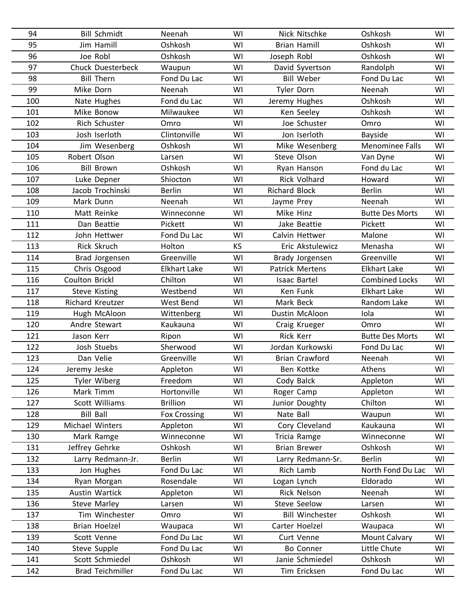| 94  | <b>Bill Schmidt</b>      | Neenah              | WI | Nick Nitschke          | Oshkosh                | WI |
|-----|--------------------------|---------------------|----|------------------------|------------------------|----|
| 95  | Jim Hamill               | Oshkosh             | WI | <b>Brian Hamill</b>    | Oshkosh                | WI |
| 96  | Joe Robl                 | Oshkosh             | WI | Joseph Robl            | Oshkosh                | WI |
| 97  | <b>Chuck Duesterbeck</b> | Waupun              | WI | David Syvertson        | Randolph               | WI |
| 98  | <b>Bill Thern</b>        | Fond Du Lac         | WI | <b>Bill Weber</b>      | Fond Du Lac            | WI |
| 99  | Mike Dorn                | Neenah              | WI | Tyler Dorn             | Neenah                 | WI |
| 100 | Nate Hughes              | Fond du Lac         | WI | Jeremy Hughes          | Oshkosh                | WI |
| 101 | Mike Bonow               | Milwaukee           | WI | Ken Seeley             | Oshkosh                | WI |
| 102 | Rich Schuster            | Omro                | WI | Joe Schuster           | Omro                   | WI |
| 103 | Josh Iserloth            | Clintonville        | WI | Jon Iserloth           | <b>Bayside</b>         | WI |
| 104 | Jim Wesenberg            | Oshkosh             | WI | Mike Wesenberg         | <b>Menominee Falls</b> | WI |
| 105 | Robert Olson             | Larsen              | WI | Steve Olson            | Van Dyne               | WI |
| 106 | <b>Bill Brown</b>        | Oshkosh             | WI | Ryan Hanson            | Fond du Lac            | WI |
| 107 | Luke Depner              | Shiocton            | WI | <b>Rick Volhard</b>    | Howard                 | WI |
| 108 | Jacob Trochinski         | <b>Berlin</b>       | WI | <b>Richard Block</b>   | <b>Berlin</b>          | WI |
| 109 | Mark Dunn                | Neenah              | WI | Jayme Prey             | Neenah                 | WI |
| 110 | Matt Reinke              | Winneconne          | WI | Mike Hinz              | <b>Butte Des Morts</b> | WI |
| 111 | Dan Beattie              | Pickett             | WI | Jake Beattie           | Pickett                | WI |
| 112 | John Hettwer             | Fond Du Lac         | WI | Calvin Hettwer         | Malone                 | WI |
| 113 | Rick Skruch              | Holton              | KS | Eric Akstulewicz       | Menasha                | WI |
| 114 | Brad Jorgensen           | Greenville          | WI | Brady Jorgensen        | Greenville             | WI |
| 115 | Chris Osgood             | <b>Elkhart Lake</b> | WI | <b>Patrick Mertens</b> | <b>Elkhart Lake</b>    | WI |
| 116 | Coulton Brickl           | Chilton             | WI | <b>Isaac Bartel</b>    | <b>Combined Locks</b>  | WI |
| 117 | <b>Steve Kisting</b>     | Westbend            | WI | Ken Funk               | <b>Elkhart Lake</b>    | WI |
| 118 | Richard Kreutzer         | West Bend           | WI | Mark Beck              | Random Lake            | WI |
| 119 | Hugh McAloon             | Wittenberg          | WI | Dustin McAloon         | Iola                   | WI |
| 120 | Andre Stewart            | Kaukauna            | WI | Craig Krueger          | Omro                   | WI |
| 121 | Jason Kerr               | Ripon               | WI | Rick Kerr              | <b>Butte Des Morts</b> | WI |
| 122 | Josh Stuebs              | Sherwood            | WI | Jordan Kurkowski       | Fond Du Lac            | WI |
| 123 | Dan Velie                | Greenville          | WI | <b>Brian Crawford</b>  | Neenah                 | WI |
| 124 | Jeremy Jeske             | Appleton            | WI | Ben Kottke             | Athens                 | WI |
| 125 | <b>Tyler Wiberg</b>      | Freedom             | WI | Cody Balck             | Appleton               | WI |
| 126 | Mark Timm                | Hortonville         | WI | Roger Camp             | Appleton               | WI |
| 127 | Scott Williams           | <b>Brillion</b>     | WI | Junior Doughty         | Chilton                | WI |
| 128 | <b>Bill Ball</b>         | <b>Fox Crossing</b> | WI | Nate Ball              | Waupun                 | WI |
| 129 | Michael Winters          | Appleton            | WI | Cory Cleveland         | Kaukauna               | WI |
| 130 | Mark Ramge               | Winneconne          | WI | Tricia Ramge           | Winneconne             | WI |
| 131 | Jeffrey Gehrke           | Oshkosh             | WI | <b>Brian Brewer</b>    | Oshkosh                | WI |
| 132 | Larry Redmann-Jr.        | <b>Berlin</b>       | WI | Larry Redmann-Sr.      | <b>Berlin</b>          | WI |
| 133 | Jon Hughes               | Fond Du Lac         | WI | Rich Lamb              | North Fond Du Lac      | WI |
| 134 | Ryan Morgan              | Rosendale           | WI | Logan Lynch            | Eldorado               | WI |
| 135 | Austin Wartick           | Appleton            | WI | Rick Nelson            | Neenah                 | WI |
| 136 | Steve Marley             | Larsen              | WI | Steve Seelow           | Larsen                 | WI |
| 137 | Tim Winchester           | Omro                | WI | <b>Bill Winchester</b> | Oshkosh                | WI |
| 138 | Brian Hoelzel            | Waupaca             | WI | Carter Hoelzel         | Waupaca                | WI |
| 139 | Scott Venne              | Fond Du Lac         | WI | Curt Venne             | <b>Mount Calvary</b>   | WI |
| 140 | Steve Supple             | Fond Du Lac         | WI | Bo Conner              | Little Chute           | WI |
| 141 | Scott Schmiedel          | Oshkosh             | WI | Janie Schmiedel        | Oshkosh                | WI |
| 142 | <b>Brad Teichmiller</b>  | Fond Du Lac         | WI | Tim Ericksen           | Fond Du Lac            | WI |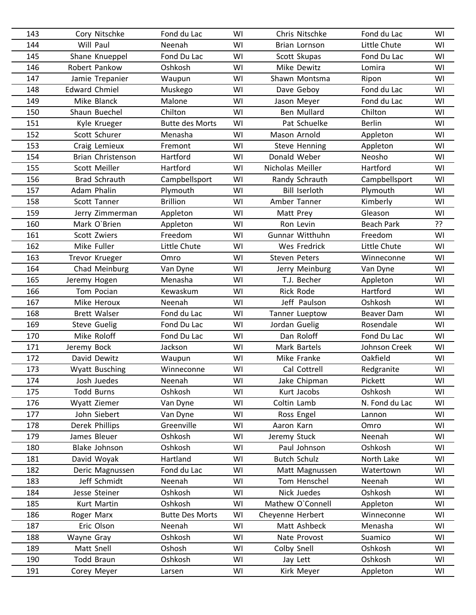| 143 | Cory Nitschke            | Fond du Lac            | WI | Chris Nitschke       | Fond du Lac       | WI |
|-----|--------------------------|------------------------|----|----------------------|-------------------|----|
| 144 | Will Paul                | Neenah                 | WI | Brian Lornson        | Little Chute      | WI |
| 145 | Shane Knueppel           | Fond Du Lac            | WI | Scott Skupas         | Fond Du Lac       | WI |
| 146 | Robert Pankow            | Oshkosh                | WI | Mike Dewitz          | Lomira            | WI |
| 147 | Jamie Trepanier          | Waupun                 | WI | Shawn Montsma        | Ripon             | WI |
| 148 | <b>Edward Chmiel</b>     | Muskego                | WI | Dave Geboy           | Fond du Lac       | WI |
| 149 | Mike Blanck              | Malone                 | WI | Jason Meyer          | Fond du Lac       | WI |
| 150 | Shaun Buechel            | Chilton                | WI | Ben Mullard          | Chilton           | WI |
| 151 | Kyle Krueger             | <b>Butte des Morts</b> | WI | Pat Schuelke         | <b>Berlin</b>     | WI |
| 152 | Scott Schurer            | Menasha                | WI | Mason Arnold         | Appleton          | WI |
| 153 | Craig Lemieux            | Fremont                | WI | Steve Henning        | Appleton          | WI |
| 154 | <b>Brian Christenson</b> | Hartford               | WI | Donald Weber         | Neosho            | WI |
| 155 | Scott Meiller            | Hartford               | WI | Nicholas Meiller     | Hartford          | WI |
| 156 | <b>Brad Schrauth</b>     | Campbellsport          | WI | Randy Schrauth       | Campbellsport     | WI |
| 157 | <b>Adam Phalin</b>       | Plymouth               | WI | <b>Bill Iserloth</b> | Plymouth          | WI |
| 158 | Scott Tanner             | <b>Brillion</b>        | WI | Amber Tanner         | Kimberly          | WI |
| 159 | Jerry Zimmerman          | Appleton               | WI | Matt Prey            | Gleason           | WI |
| 160 | Mark O'Brien             | Appleton               | WI | Ron Levin            | <b>Beach Park</b> | ?? |
| 161 | Scott Zwiers             | Freedom                | WI | Gunnar Witthuhn      | Freedom           | WI |
| 162 | Mike Fuller              | Little Chute           | WI | <b>Wes Fredrick</b>  | Little Chute      | WI |
| 163 | Trevor Krueger           | Omro                   | WI | Steven Peters        | Winneconne        | WI |
| 164 | Chad Meinburg            | Van Dyne               | WI | Jerry Meinburg       | Van Dyne          | WI |
| 165 | Jeremy Hogen             | Menasha                | WI | T.J. Becher          | Appleton          | WI |
| 166 | Tom Pocian               | Kewaskum               | WI | Rick Rode            | Hartford          | WI |
| 167 | Mike Heroux              | Neenah                 | WI | Jeff Paulson         | Oshkosh           | WI |
| 168 | <b>Brett Walser</b>      | Fond du Lac            | WI | Tanner Lueptow       | Beaver Dam        | WI |
| 169 | <b>Steve Guelig</b>      | Fond Du Lac            | WI | Jordan Guelig        | Rosendale         | WI |
| 170 | Mike Roloff              | Fond Du Lac            | WI | Dan Roloff           | Fond Du Lac       | WI |
| 171 | Jeremy Bock              | Jackson                | WI | Mark Bartels         | Johnson Creek     | WI |
| 172 | David Dewitz             | Waupun                 | WI | Mike Franke          | Oakfield          | WI |
| 173 | Wyatt Busching           | Winneconne             | WI | Cal Cottrell         | Redgranite        | WI |
| 174 | Josh Juedes              | Neenah                 | WI | Jake Chipman         | Pickett           | WI |
| 175 | <b>Todd Burns</b>        | Oshkosh                | WI | Kurt Jacobs          | Oshkosh           | WI |
| 176 | Wyatt Ziemer             | Van Dyne               | WI | Coltin Lamb          | N. Fond du Lac    | WI |
| 177 | John Siebert             | Van Dyne               | WI | Ross Engel           | Lannon            | WI |
| 178 | Derek Phillips           | Greenville             | WI | Aaron Karn           | Omro              | WI |
| 179 | James Bleuer             | Oshkosh                | WI | Jeremy Stuck         | Neenah            | WI |
| 180 | Blake Johnson            | Oshkosh                | WI | Paul Johnson         | Oshkosh           | WI |
| 181 | David Woyak              | Hartland               | WI | <b>Butch Schulz</b>  | North Lake        | WI |
| 182 | Deric Magnussen          | Fond du Lac            | WI | Matt Magnussen       | Watertown         | WI |
| 183 | Jeff Schmidt             | Neenah                 | WI | Tom Henschel         | Neenah            | WI |
| 184 | Jesse Steiner            | Oshkosh                | WI | Nick Juedes          | Oshkosh           | WI |
| 185 | Kurt Martin              | Oshkosh                | WI | Mathew O'Connell     | Appleton          | WI |
| 186 | Roger Marx               | <b>Butte Des Morts</b> | WI | Cheyenne Herbert     | Winneconne        | WI |
| 187 | Eric Olson               | Neenah                 | WI | Matt Ashbeck         | Menasha           | WI |
| 188 | Wayne Gray               | Oshkosh                | WI | Nate Provost         | Suamico           | WI |
| 189 | Matt Snell               | Oshosh                 | WI | Colby Snell          | Oshkosh           | WI |
| 190 | <b>Todd Braun</b>        | Oshkosh                | WI | Jay Lett             | Oshkosh           | WI |
| 191 | Corey Meyer              | Larsen                 | WI | Kirk Meyer           | Appleton          | WI |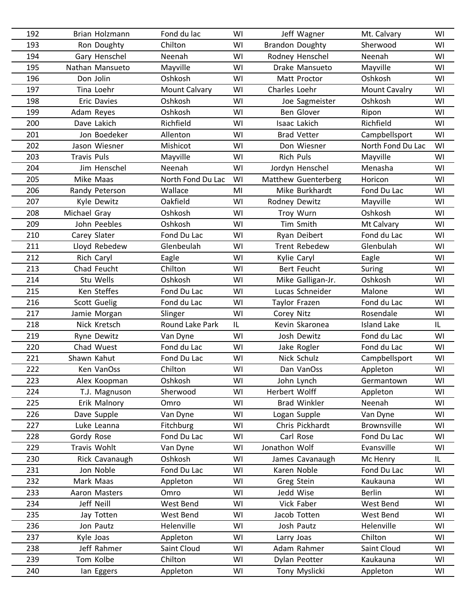| 192 | Brian Holzmann     | Fond du lac       | WI | Jeff Wagner            | Mt. Calvary          | WI  |
|-----|--------------------|-------------------|----|------------------------|----------------------|-----|
| 193 | Ron Doughty        | Chilton           | WI | <b>Brandon Doughty</b> | Sherwood             | WI  |
| 194 | Gary Henschel      | Neenah            | WI | Rodney Henschel        | Neenah               | WI  |
| 195 | Nathan Mansueto    | Mayville          | WI | Drake Mansueto         | Mayville             | WI  |
| 196 | Don Jolin          | Oshkosh           | WI | Matt Proctor           | Oshkosh              | WI  |
| 197 | Tina Loehr         | Mount Calvary     | WI | Charles Loehr          | <b>Mount Cavalry</b> | WI  |
| 198 | <b>Eric Davies</b> | Oshkosh           | WI | Joe Sagmeister         | Oshkosh              | WI  |
| 199 | Adam Reyes         | Oshkosh           | WI | <b>Ben Glover</b>      | Ripon                | WI  |
| 200 | Dave Lakich        | Richfield         | WI | Isaac Lakich           | Richfield            | WI  |
| 201 | Jon Boedeker       | Allenton          | WI | <b>Brad Vetter</b>     | Campbellsport        | WI  |
| 202 | Jason Wiesner      | Mishicot          | WI | Don Wiesner            | North Fond Du Lac    | WI  |
| 203 | <b>Travis Puls</b> | Mayville          | WI | <b>Rich Puls</b>       | Mayville             | WI  |
| 204 | Jim Henschel       | Neenah            | WI | Jordyn Henschel        | Menasha              | WI  |
| 205 | Mike Maas          | North Fond Du Lac | WI | Matthew Guenterberg    | Horicon              | WI  |
| 206 | Randy Peterson     | Wallace           | MI | Mike Burkhardt         | Fond Du Lac          | WI  |
| 207 | Kyle Dewitz        | Oakfield          | WI | Rodney Dewitz          | Mayville             | WI  |
| 208 | Michael Gray       | Oshkosh           | WI | Troy Wurn              | Oshkosh              | WI  |
| 209 | John Peebles       | Oshkosh           | WI | Tim Smith              | Mt Calvary           | WI  |
| 210 | Carey Slater       | Fond Du Lac       | WI | Ryan Deibert           | Fond du Lac          | WI  |
| 211 | Lloyd Rebedew      | Glenbeulah        | WI | <b>Trent Rebedew</b>   | Glenbulah            | WI  |
| 212 | Rich Caryl         | Eagle             | WI | Kylie Caryl            | Eagle                | WI  |
| 213 | Chad Feucht        | Chilton           | WI | Bert Feucht            | Suring               | WI  |
| 214 | Stu Wells          | Oshkosh           | WI | Mike Galligan-Jr.      | Oshkosh              | WI  |
| 215 | Ken Steffes        | Fond Du Lac       | WI | Lucas Schneider        | Malone               | WI  |
| 216 | Scott Guelig       | Fond du Lac       | WI | Taylor Frazen          | Fond du Lac          | WI  |
| 217 | Jamie Morgan       | Slinger           | WI | Corey Nitz             | Rosendale            | WI  |
| 218 | Nick Kretsch       | Round Lake Park   | IL | Kevin Skaronea         | <b>Island Lake</b>   | IL  |
| 219 | <b>Ryne Dewitz</b> | Van Dyne          | WI | Josh Dewitz            | Fond du Lac          | WI  |
| 220 | Chad Wuest         | Fond du Lac       | WI | Jake Rogler            | Fond du Lac          | WI  |
| 221 | Shawn Kahut        | Fond Du Lac       | WI | Nick Schulz            | Campbellsport        | WI  |
| 222 | Ken VanOss         | Chilton           | WI | Dan VanOss             | Appleton             | WI  |
| 223 | Alex Koopman       | Oshkosh           | WI | John Lynch             | Germantown           | WI  |
| 224 | T.J. Magnuson      | Sherwood          | WI | Herbert Wolff          | Appleton             | WI  |
| 225 | Erik Malnory       | Omro              | WI | <b>Brad Winkler</b>    | Neenah               | WI  |
| 226 | Dave Supple        | Van Dyne          | WI | Logan Supple           | Van Dyne             | WI  |
| 227 | Luke Leanna        | Fitchburg         | WI | Chris Pickhardt        | <b>Brownsville</b>   | WI  |
| 228 | Gordy Rose         | Fond Du Lac       | WI | Carl Rose              | Fond Du Lac          | WI  |
| 229 | Travis Wohlt       | Van Dyne          | WI | Jonathon Wolf          | Evansville           | WI  |
| 230 | Rick Cavanaugh     | Oshkosh           | WI | James Cavanaugh        | Mc Henry             | IL. |
| 231 | Jon Noble          | Fond Du Lac       | WI | Karen Noble            | Fond Du Lac          | WI  |
| 232 | Mark Maas          | Appleton          | WI | Greg Stein             | Kaukauna             | WI  |
| 233 | Aaron Masters      | Omro              | WI | Jedd Wise              | <b>Berlin</b>        | WI  |
| 234 | Jeff Neill         | West Bend         | WI | Vick Faber             | West Bend            | WI  |
| 235 | Jay Totten         | West Bend         | WI | Jacob Totten           | West Bend            | WI  |
| 236 | Jon Pautz          | Helenville        | WI | Josh Pautz             | Helenville           | WI  |
| 237 | Kyle Joas          | Appleton          | WI | Larry Joas             | Chilton              | WI  |
| 238 | Jeff Rahmer        | Saint Cloud       | WI | Adam Rahmer            | Saint Cloud          | WI  |
| 239 | Tom Kolbe          | Chilton           | WI | Dylan Peotter          | Kaukauna             | WI  |
| 240 | lan Eggers         | Appleton          | WI | Tony Myslicki          | Appleton             | WI  |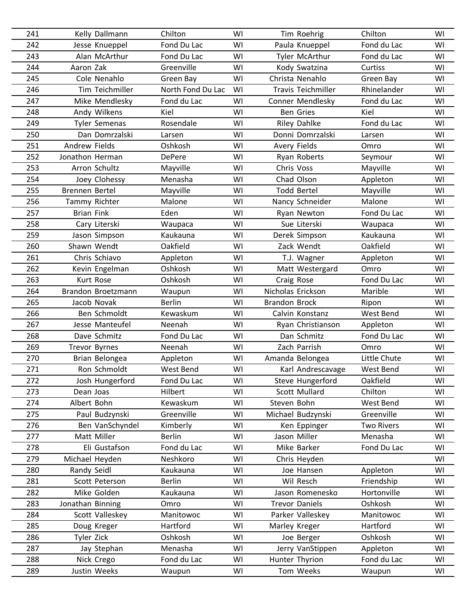| 241 | Kelly Dallmann       | Chilton           | WI | Tim Roehrig               | Chilton           | WI |
|-----|----------------------|-------------------|----|---------------------------|-------------------|----|
| 242 | Jesse Knueppel       | Fond Du Lac       | WI | Paula Knueppel            | Fond du Lac       | WI |
| 243 | Alan McArthur        | Fond Du Lac       | WI | Tyler McArthur            | Fond du Lac       | WI |
| 244 | Aaron Zak            | Greenville        | WI | Kody Swatzina             | Curtiss           | WI |
| 245 | Cole Nenahlo         | Green Bay         | WI | Christa Nenahlo           | Green Bay         | WI |
| 246 | Tim Teichmiller      | North Fond Du Lac | WI | <b>Travis Teichmiller</b> | Rhinelander       | WI |
| 247 | Mike Mendlesky       | Fond du Lac       | WI | Conner Mendlesky          | Fond du Lac       | WI |
| 248 | Andy Wilkens         | Kiel              | WI | <b>Ben Gries</b>          | Kiel              | WI |
| 249 | <b>Tyler Semenas</b> | Rosendale         | WI | Riley Dahlke              | Fond du Lac       | WI |
| 250 | Dan Domrzalski       | Larsen            | WI | Donni Domrzalski          | Larsen            | WI |
| 251 | <b>Andrew Fields</b> | Oshkosh           | WI | Avery Fields              | Omro              | WI |
| 252 | Jonathon Herman      | <b>DePere</b>     | WI | Ryan Roberts              | Seymour           | WI |
| 253 | Arron Schultz        | Mayville          | WI | Chris Voss                | Mayville          | WI |
| 254 | Joey Clohessy        | Menasha           | WI | Chad Olson                | Appleton          | WI |
| 255 | Brennen Bertel       | Mayville          | WI | <b>Todd Bertel</b>        | Mayville          | WI |
| 256 | Tammy Richter        | Malone            | WI | Nancy Schneider           | Malone            | WI |
| 257 | <b>Brian Fink</b>    | Eden              | WI | Ryan Newton               | Fond Du Lac       | WI |
| 258 | Cary Literski        | Waupaca           | WI | Sue Literski              | Waupaca           | WI |
| 259 | Jason Simpson        | Kaukauna          | WI | Derek Simpson             | Kaukauna          | WI |
| 260 | Shawn Wendt          | Oakfield          | WI | Zack Wendt                | Oakfield          | WI |
| 261 | Chris Schiavo        | Appleton          | WI | T.J. Wagner               | Appleton          | WI |
| 262 | Kevin Engelman       | Oshkosh           | WI | Matt Westergard           | Omro              | WI |
| 263 | Kurt Rose            | Oshkosh           | WI | Craig Rose                | Fond Du Lac       | WI |
| 264 | Brandon Broetzmann   | Waupun            | WI | Nicholas Erickson         | Marible           | WI |
| 265 | Jacob Novak          | <b>Berlin</b>     | WI | <b>Brandon Brock</b>      | Ripon             | WI |
| 266 | Ben Schmoldt         | Kewaskum          | WI | Calvin Konstanz           | West Bend         | WI |
| 267 | Jesse Manteufel      | Neenah            | WI | Ryan Christianson         | Appleton          | WI |
| 268 | Dave Schmitz         | Fond Du Lac       | WI | Dan Schmitz               | Fond Du Lac       | WI |
| 269 | <b>Trevor Byrnes</b> | Neenah            | WI | Zach Parrish              | Omro              | WI |
| 270 | Brian Belongea       | Appleton          | WI | Amanda Belongea           | Little Chute      | WI |
| 271 | Ron Schmoldt         | West Bend         | WI | Karl Andrescavage         | <b>West Bend</b>  | WI |
| 272 | Josh Hungerford      | Fond Du Lac       | WI | Steve Hungerford          | Oakfield          | WI |
| 273 | Dean Joas            | Hilbert           | WI | Scott Mullard             | Chilton           | WI |
| 274 | Albert Bohn          | Kewaskum          | WI | Steven Bohn               | West Bend         | WI |
| 275 | Paul Budzynski       | Greenville        | WI | Michael Budzynski         | Greenville        | WI |
| 276 | Ben VanSchyndel      | Kimberly          | WI | Ken Eppinger              | <b>Two Rivers</b> | WI |
| 277 | Matt Miller          | <b>Berlin</b>     | WI | Jason Miller              | Menasha           | WI |
| 278 | Eli Gustafson        | Fond du Lac       | WI | Mike Barker               | Fond Du Lac       | WI |
| 279 | Michael Heyden       | Neshkoro          | WI | Chris Heyden              |                   | WI |
| 280 | Randy Seidl          | Kaukauna          | WI | Joe Hansen                | Appleton          | WI |
| 281 | Scott Peterson       | <b>Berlin</b>     | WI | Wil Resch                 | Friendship        | WI |
| 282 | Mike Golden          | Kaukauna          | WI | Jason Romenesko           | Hortonville       | WI |
| 283 | Jonathan Binning     | Omro              | WI | <b>Trevor Daniels</b>     | Oshkosh           | WI |
| 284 | Scott Valleskey      | Manitowoc         | WI | Parker Valleskey          | Manitowoc         | WI |
| 285 | Doug Kreger          | Hartford          | WI | Marley Kreger             | Hartford          | WI |
| 286 | Tyler Zick           | Oshkosh           | WI | Joe Berger                | Oshkosh           | WI |
| 287 | Jay Stephan          | Menasha           | WI | Jerry VanStippen          | Appleton          | WI |
| 288 | Nick Crego           | Fond du Lac       | WI | Hunter Thyrion            | Fond du Lac       | WI |
| 289 | Justin Weeks         | Waupun            | WI | Tom Weeks                 | Waupun            | WI |